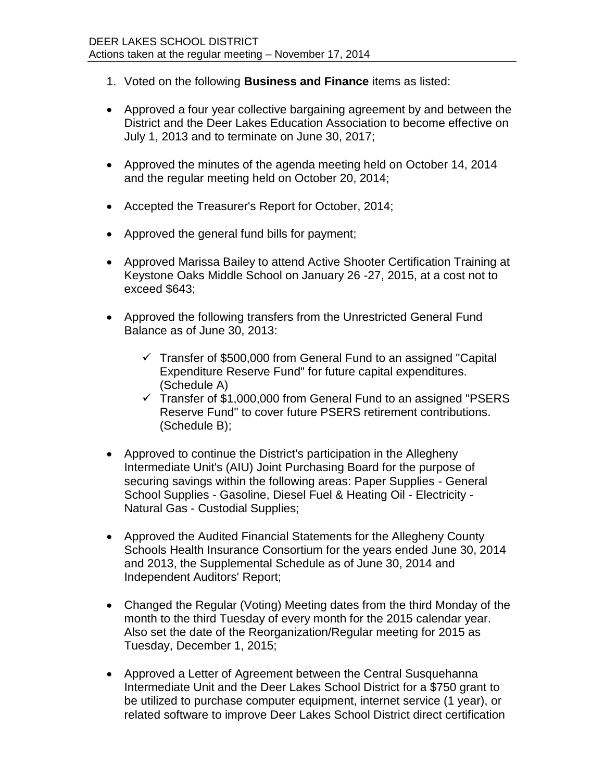- 1. Voted on the following **Business and Finance** items as listed:
- Approved a four year collective bargaining agreement by and between the District and the Deer Lakes Education Association to become effective on July 1, 2013 and to terminate on June 30, 2017;
- Approved the minutes of the agenda meeting held on October 14, 2014 and the regular meeting held on October 20, 2014;
- Accepted the Treasurer's Report for October, 2014;
- Approved the general fund bills for payment;
- Approved Marissa Bailey to attend Active Shooter Certification Training at Keystone Oaks Middle School on January 26 -27, 2015, at a cost not to exceed \$643;
- Approved the following transfers from the Unrestricted General Fund Balance as of June 30, 2013:
	- $\checkmark$  Transfer of \$500,000 from General Fund to an assigned "Capital Expenditure Reserve Fund" for future capital expenditures. (Schedule A)
	- $\checkmark$  Transfer of \$1,000,000 from General Fund to an assigned "PSERS Reserve Fund" to cover future PSERS retirement contributions. (Schedule B);
- Approved to continue the District's participation in the Allegheny Intermediate Unit's (AIU) Joint Purchasing Board for the purpose of securing savings within the following areas: Paper Supplies - General School Supplies - Gasoline, Diesel Fuel & Heating Oil - Electricity - Natural Gas - Custodial Supplies;
- Approved the Audited Financial Statements for the Allegheny County Schools Health Insurance Consortium for the years ended June 30, 2014 and 2013, the Supplemental Schedule as of June 30, 2014 and Independent Auditors' Report;
- Changed the Regular (Voting) Meeting dates from the third Monday of the month to the third Tuesday of every month for the 2015 calendar year. Also set the date of the Reorganization/Regular meeting for 2015 as Tuesday, December 1, 2015;
- Approved a Letter of Agreement between the Central Susquehanna Intermediate Unit and the Deer Lakes School District for a \$750 grant to be utilized to purchase computer equipment, internet service (1 year), or related software to improve Deer Lakes School District direct certification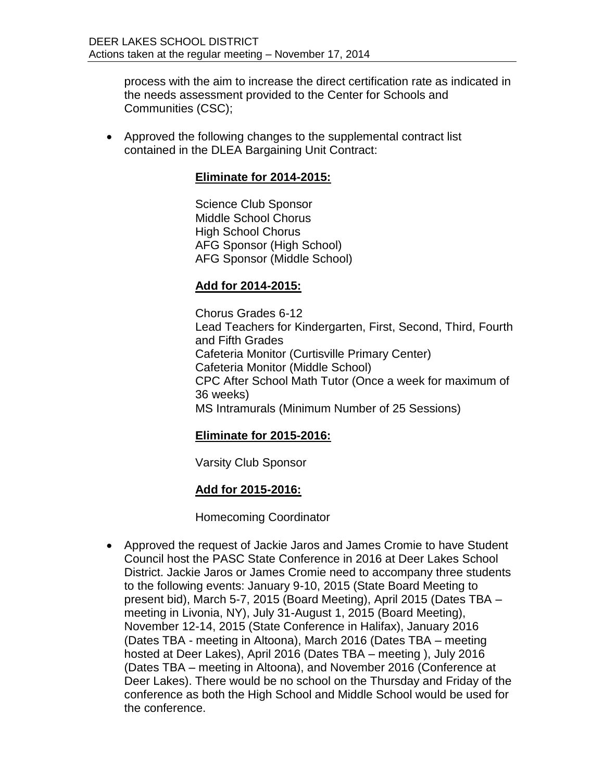process with the aim to increase the direct certification rate as indicated in the needs assessment provided to the Center for Schools and Communities (CSC);

 Approved the following changes to the supplemental contract list contained in the DLEA Bargaining Unit Contract:

## **Eliminate for 2014-2015:**

Science Club Sponsor Middle School Chorus High School Chorus AFG Sponsor (High School) AFG Sponsor (Middle School)

## **Add for 2014-2015:**

Chorus Grades 6-12 Lead Teachers for Kindergarten, First, Second, Third, Fourth and Fifth Grades Cafeteria Monitor (Curtisville Primary Center) Cafeteria Monitor (Middle School) CPC After School Math Tutor (Once a week for maximum of 36 weeks) MS Intramurals (Minimum Number of 25 Sessions)

## **Eliminate for 2015-2016:**

Varsity Club Sponsor

## **Add for 2015-2016:**

Homecoming Coordinator

 Approved the request of Jackie Jaros and James Cromie to have Student Council host the PASC State Conference in 2016 at Deer Lakes School District. Jackie Jaros or James Cromie need to accompany three students to the following events: January 9-10, 2015 (State Board Meeting to present bid), March 5-7, 2015 (Board Meeting), April 2015 (Dates TBA – meeting in Livonia, NY), July 31-August 1, 2015 (Board Meeting), November 12-14, 2015 (State Conference in Halifax), January 2016 (Dates TBA - meeting in Altoona), March 2016 (Dates TBA – meeting hosted at Deer Lakes), April 2016 (Dates TBA – meeting ), July 2016 (Dates TBA – meeting in Altoona), and November 2016 (Conference at Deer Lakes). There would be no school on the Thursday and Friday of the conference as both the High School and Middle School would be used for the conference.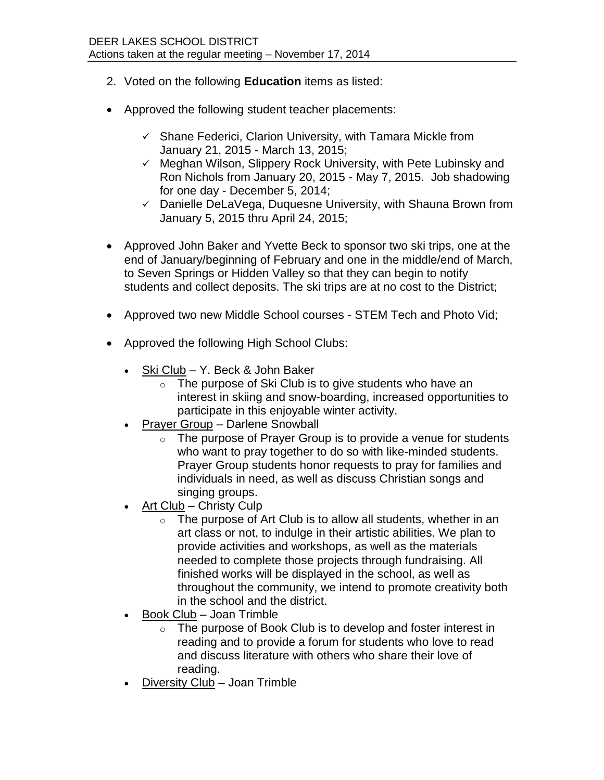- 2. Voted on the following **Education** items as listed:
- Approved the following student teacher placements:
	- $\checkmark$  Shane Federici, Clarion University, with Tamara Mickle from January 21, 2015 - March 13, 2015;
	- $\checkmark$  Meghan Wilson, Slippery Rock University, with Pete Lubinsky and Ron Nichols from January 20, 2015 - May 7, 2015. Job shadowing for one day - December 5, 2014;
	- $\checkmark$  Danielle DeLaVega, Duquesne University, with Shauna Brown from January 5, 2015 thru April 24, 2015;
- Approved John Baker and Yvette Beck to sponsor two ski trips, one at the end of January/beginning of February and one in the middle/end of March, to Seven Springs or Hidden Valley so that they can begin to notify students and collect deposits. The ski trips are at no cost to the District;
- Approved two new Middle School courses STEM Tech and Photo Vid;
- Approved the following High School Clubs:
	- Ski Club Y. Beck & John Baker
		- o The purpose of Ski Club is to give students who have an interest in skiing and snow-boarding, increased opportunities to participate in this enjoyable winter activity.
	- Prayer Group Darlene Snowball
		- $\circ$  The purpose of Prayer Group is to provide a venue for students who want to pray together to do so with like-minded students. Prayer Group students honor requests to pray for families and individuals in need, as well as discuss Christian songs and singing groups.
	- Art Club Christy Culp
		- $\circ$  The purpose of Art Club is to allow all students, whether in an art class or not, to indulge in their artistic abilities. We plan to provide activities and workshops, as well as the materials needed to complete those projects through fundraising. All finished works will be displayed in the school, as well as throughout the community, we intend to promote creativity both in the school and the district.
	- Book Club Joan Trimble
		- o The purpose of Book Club is to develop and foster interest in reading and to provide a forum for students who love to read and discuss literature with others who share their love of reading.
	- Diversity Club Joan Trimble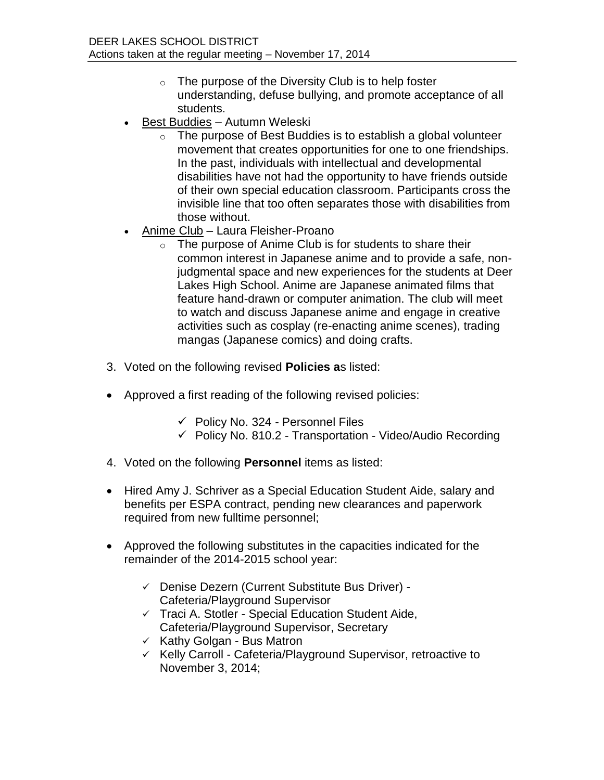- $\circ$  The purpose of the Diversity Club is to help foster understanding, defuse bullying, and promote acceptance of all students.
- Best Buddies Autumn Weleski
	- $\circ$  The purpose of Best Buddies is to establish a global volunteer movement that creates opportunities for one to one friendships. In the past, individuals with intellectual and developmental disabilities have not had the opportunity to have friends outside of their own special education classroom. Participants cross the invisible line that too often separates those with disabilities from those without.
- Anime Club Laura Fleisher-Proano
	- $\circ$  The purpose of Anime Club is for students to share their common interest in Japanese anime and to provide a safe, nonjudgmental space and new experiences for the students at Deer Lakes High School. Anime are Japanese animated films that feature hand-drawn or computer animation. The club will meet to watch and discuss Japanese anime and engage in creative activities such as cosplay (re-enacting anime scenes), trading mangas (Japanese comics) and doing crafts.
- 3. Voted on the following revised **Policies a**s listed:
- Approved a first reading of the following revised policies:
	- $\checkmark$  Policy No. 324 Personnel Files
	- $\checkmark$  Policy No. 810.2 Transportation Video/Audio Recording
- 4. Voted on the following **Personnel** items as listed:
- Hired Amy J. Schriver as a Special Education Student Aide, salary and benefits per ESPA contract, pending new clearances and paperwork required from new fulltime personnel;
- Approved the following substitutes in the capacities indicated for the remainder of the 2014-2015 school year:
	- Denise Dezern (Current Substitute Bus Driver) Cafeteria/Playground Supervisor
	- $\checkmark$  Traci A. Stotler Special Education Student Aide, Cafeteria/Playground Supervisor, Secretary
	- $\times$  Kathy Golgan Bus Matron
	- $\checkmark$  Kelly Carroll Cafeteria/Playground Supervisor, retroactive to November 3, 2014;